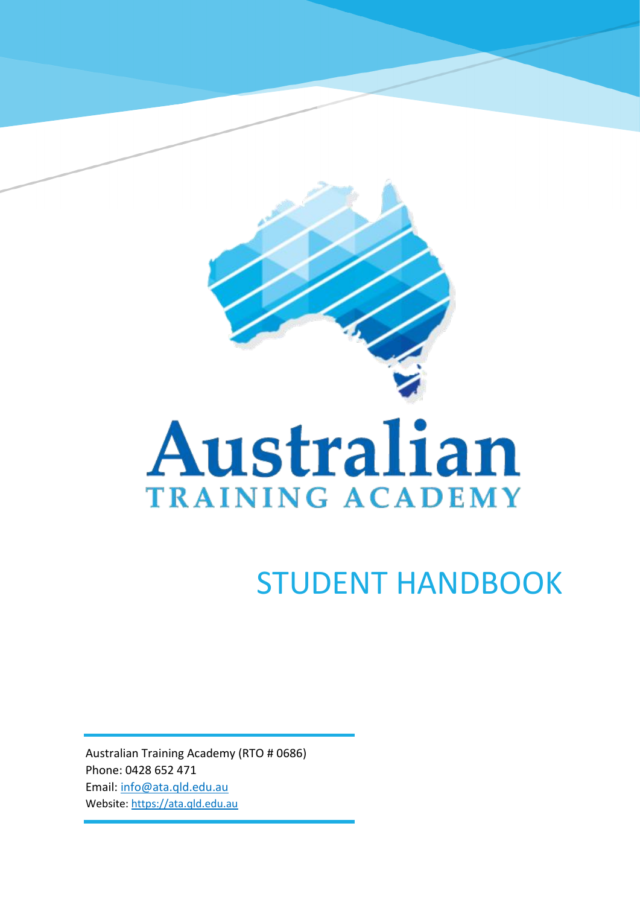

# Australian **TRAINING ACADEMY**

## STUDENT HANDBOOK

Australian Training Academy (RTO # 0686) Phone: 0428 652 471 Email: [info@ata.qld.edu.au](mailto:info@ata.qld.edu.au) Website: [https://ata.qld.edu.au](https://ata.qld.edu.au/)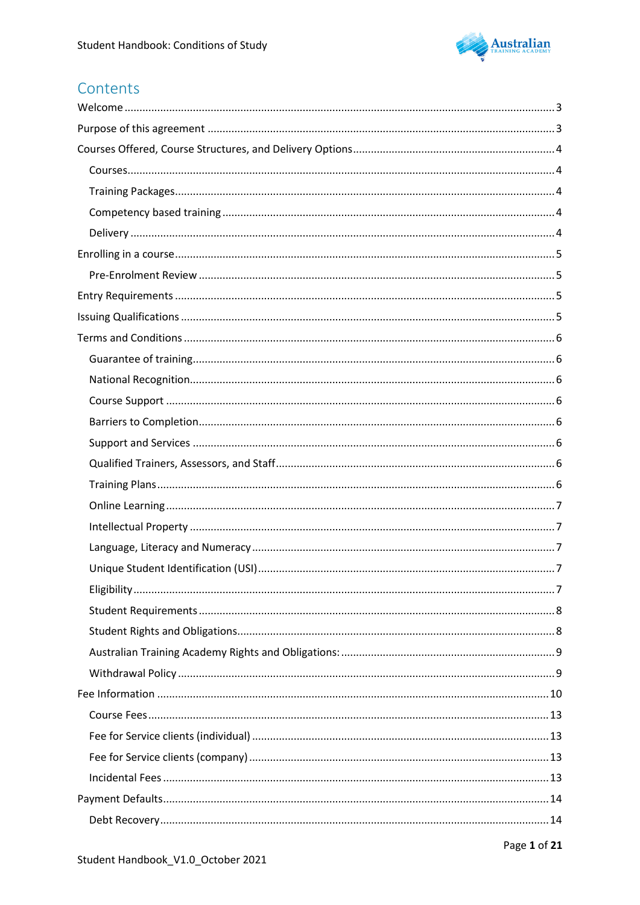

### Contents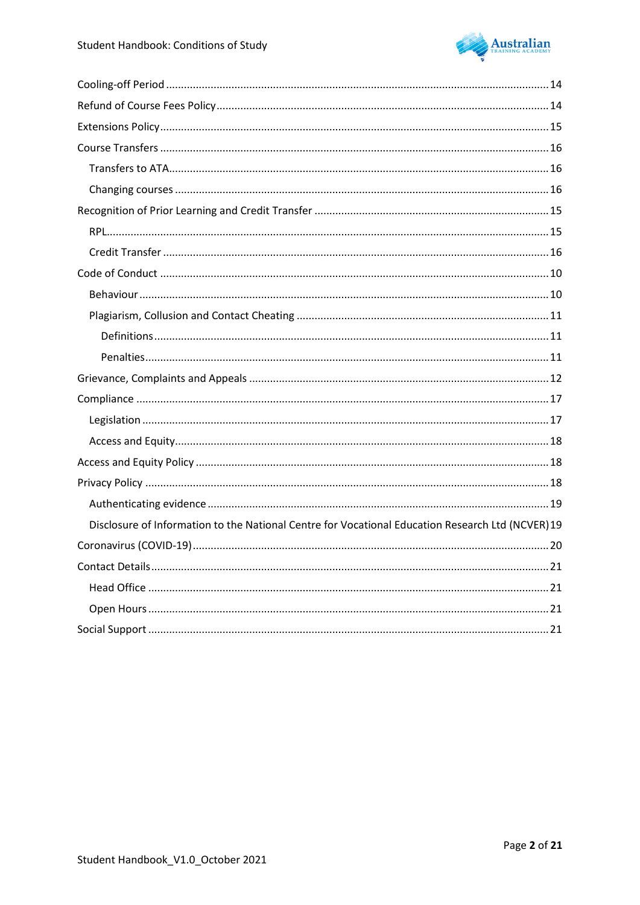

| Disclosure of Information to the National Centre for Vocational Education Research Ltd (NCVER)19 |  |
|--------------------------------------------------------------------------------------------------|--|
|                                                                                                  |  |
|                                                                                                  |  |
|                                                                                                  |  |
|                                                                                                  |  |
|                                                                                                  |  |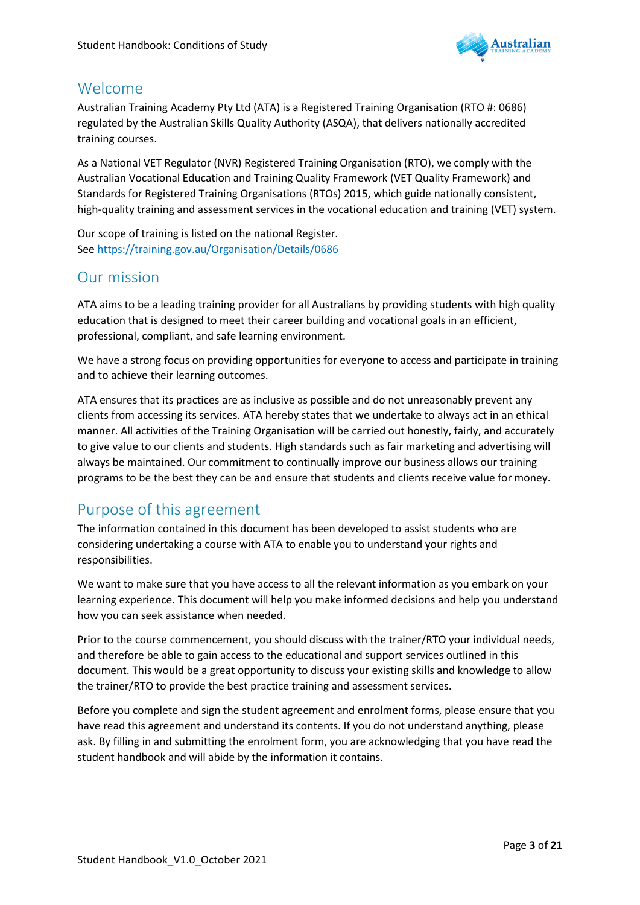

### <span id="page-3-0"></span>Welcome

Australian Training Academy Pty Ltd (ATA) is a Registered Training Organisation (RTO #: 0686) regulated by the Australian Skills Quality Authority (ASQA), that delivers nationally accredited training courses.

As a National VET Regulator (NVR) Registered Training Organisation (RTO), we comply with the Australian Vocational Education and Training Quality Framework (VET Quality Framework) and Standards for Registered Training Organisations (RTOs) 2015, which guide nationally consistent, high-quality training and assessment services in the vocational education and training (VET) system.

Our scope of training is listed on the national Register. Se[e https://training.gov.au/Organisation/Details/0686](https://training.gov.au/Organisation/Details/0686)

### <span id="page-3-1"></span>Our mission

ATA aims to be a leading training provider for all Australians by providing students with high quality education that is designed to meet their career building and vocational goals in an efficient, professional, compliant, and safe learning environment.

We have a strong focus on providing opportunities for everyone to access and participate in training and to achieve their learning outcomes.

ATA ensures that its practices are as inclusive as possible and do not unreasonably prevent any clients from accessing its services. ATA hereby states that we undertake to always act in an ethical manner. All activities of the Training Organisation will be carried out honestly, fairly, and accurately to give value to our clients and students. High standards such as fair marketing and advertising will always be maintained. Our commitment to continually improve our business allows our training programs to be the best they can be and ensure that students and clients receive value for money.

### Purpose of this agreement

The information contained in this document has been developed to assist students who are considering undertaking a course with ATA to enable you to understand your rights and responsibilities.

We want to make sure that you have access to all the relevant information as you embark on your learning experience. This document will help you make informed decisions and help you understand how you can seek assistance when needed.

Prior to the course commencement, you should discuss with the trainer/RTO your individual needs, and therefore be able to gain access to the educational and support services outlined in this document. This would be a great opportunity to discuss your existing skills and knowledge to allow the trainer/RTO to provide the best practice training and assessment services.

Before you complete and sign the student agreement and enrolment forms, please ensure that you have read this agreement and understand its contents. If you do not understand anything, please ask. By filling in and submitting the enrolment form, you are acknowledging that you have read the student handbook and will abide by the information it contains.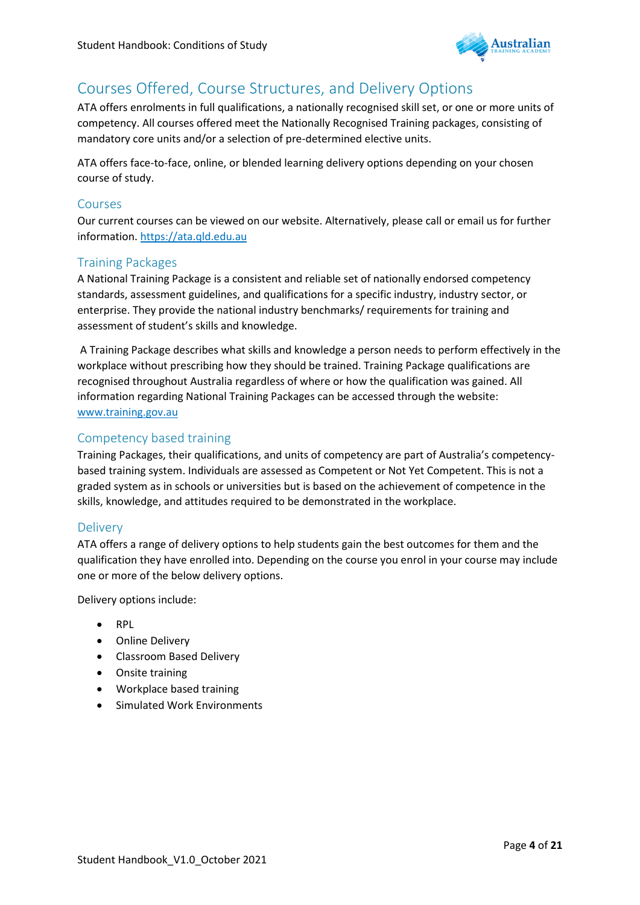

### <span id="page-4-0"></span>Courses Offered, Course Structures, and Delivery Options

ATA offers enrolments in full qualifications, a nationally recognised skill set, or one or more units of competency. All courses offered meet the Nationally Recognised Training packages, consisting of mandatory core units and/or a selection of pre-determined elective units.

ATA offers face-to-face, online, or blended learning delivery options depending on your chosen course of study.

### <span id="page-4-1"></span>Courses

Our current courses can be viewed on our website. Alternatively, please call or email us for further information. [https://ata.qld.edu.au](https://ata.qld.edu.au/)

### <span id="page-4-2"></span>Training Packages

A National Training Package is a consistent and reliable set of nationally endorsed competency standards, assessment guidelines, and qualifications for a specific industry, industry sector, or enterprise. They provide the national industry benchmarks/ requirements for training and assessment of student's skills and knowledge.

A Training Package describes what skills and knowledge a person needs to perform effectively in the workplace without prescribing how they should be trained. Training Package qualifications are recognised throughout Australia regardless of where or how the qualification was gained. All information regarding National Training Packages can be accessed through the website: [www.training.gov.au](http://www.training.gov.au/)

### <span id="page-4-3"></span>Competency based training

Training Packages, their qualifications, and units of competency are part of Australia's competencybased training system. Individuals are assessed as Competent or Not Yet Competent. This is not a graded system as in schools or universities but is based on the achievement of competence in the skills, knowledge, and attitudes required to be demonstrated in the workplace.

### <span id="page-4-4"></span>Delivery

ATA offers a range of delivery options to help students gain the best outcomes for them and the qualification they have enrolled into. Depending on the course you enrol in your course may include one or more of the below delivery options.

Delivery options include:

- RPL
- Online Delivery
- Classroom Based Delivery
- Onsite training
- Workplace based training
- <span id="page-4-5"></span>• Simulated Work Environments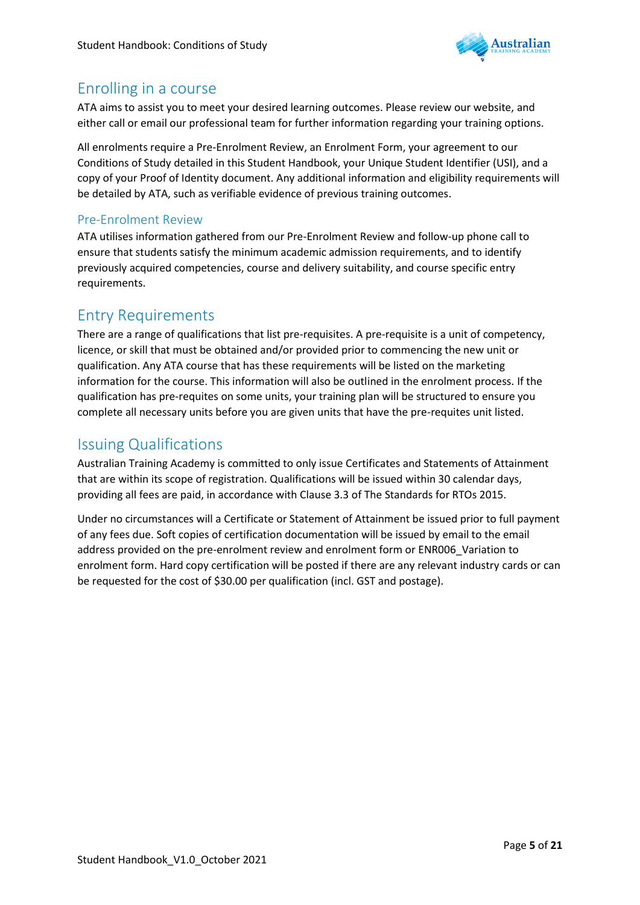

### Enrolling in a course

ATA aims to assist you to meet your desired learning outcomes. Please review our website, and either call or email our professional team for further information regarding your training options.

All enrolments require a Pre-Enrolment Review, an Enrolment Form, your agreement to our Conditions of Study detailed in this Student Handbook, your Unique Student Identifier (USI), and a copy of your Proof of Identity document. Any additional information and eligibility requirements will be detailed by ATA, such as verifiable evidence of previous training outcomes.

### <span id="page-5-0"></span>Pre-Enrolment Review

ATA utilises information gathered from our Pre-Enrolment Review and follow-up phone call to ensure that students satisfy the minimum academic admission requirements, and to identify previously acquired competencies, course and delivery suitability, and course specific entry requirements.

### <span id="page-5-1"></span>Entry Requirements

There are a range of qualifications that list pre-requisites. A pre-requisite is a unit of competency, licence, or skill that must be obtained and/or provided prior to commencing the new unit or qualification. Any ATA course that has these requirements will be listed on the marketing information for the course. This information will also be outlined in the enrolment process. If the qualification has pre-requites on some units, your training plan will be structured to ensure you complete all necessary units before you are given units that have the pre-requites unit listed.

### <span id="page-5-2"></span>Issuing Qualifications

Australian Training Academy is committed to only issue Certificates and Statements of Attainment that are within its scope of registration. Qualifications will be issued within 30 calendar days, providing all fees are paid, in accordance with Clause 3.3 of The Standards for RTOs 2015.

Under no circumstances will a Certificate or Statement of Attainment be issued prior to full payment of any fees due. Soft copies of certification documentation will be issued by email to the email address provided on the pre-enrolment review and enrolment form or ENR006\_Variation to enrolment form. Hard copy certification will be posted if there are any relevant industry cards or can be requested for the cost of \$30.00 per qualification (incl. GST and postage).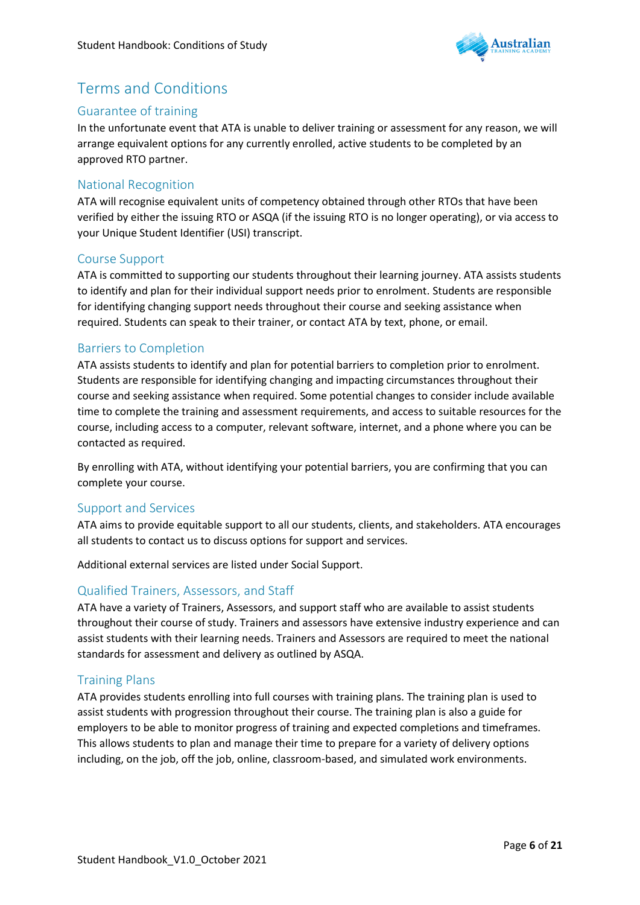

### <span id="page-6-0"></span>Terms and Conditions

### <span id="page-6-1"></span>Guarantee of training

In the unfortunate event that ATA is unable to deliver training or assessment for any reason, we will arrange equivalent options for any currently enrolled, active students to be completed by an approved RTO partner.

### <span id="page-6-2"></span>National Recognition

ATA will recognise equivalent units of competency obtained through other RTOs that have been verified by either the issuing RTO or ASQA (if the issuing RTO is no longer operating), or via access to your Unique Student Identifier (USI) transcript.

### <span id="page-6-3"></span>Course Support

ATA is committed to supporting our students throughout their learning journey. ATA assists students to identify and plan for their individual support needs prior to enrolment. Students are responsible for identifying changing support needs throughout their course and seeking assistance when required. Students can speak to their trainer, or contact ATA by text, phone, or email.

### <span id="page-6-4"></span>Barriers to Completion

ATA assists students to identify and plan for potential barriers to completion prior to enrolment. Students are responsible for identifying changing and impacting circumstances throughout their course and seeking assistance when required. Some potential changes to consider include available time to complete the training and assessment requirements, and access to suitable resources for the course, including access to a computer, relevant software, internet, and a phone where you can be contacted as required.

By enrolling with ATA, without identifying your potential barriers, you are confirming that you can complete your course.

### <span id="page-6-5"></span>Support and Services

ATA aims to provide equitable support to all our students, clients, and stakeholders. ATA encourages all students to contact us to discuss options for support and services.

Additional external services are listed under Social Support.

### <span id="page-6-6"></span>Qualified Trainers, Assessors, and Staff

ATA have a variety of Trainers, Assessors, and support staff who are available to assist students throughout their course of study. Trainers and assessors have extensive industry experience and can assist students with their learning needs. Trainers and Assessors are required to meet the national standards for assessment and delivery as outlined by ASQA.

### <span id="page-6-7"></span>Training Plans

ATA provides students enrolling into full courses with training plans. The training plan is used to assist students with progression throughout their course. The training plan is also a guide for employers to be able to monitor progress of training and expected completions and timeframes. This allows students to plan and manage their time to prepare for a variety of delivery options including, on the job, off the job, online, classroom-based, and simulated work environments.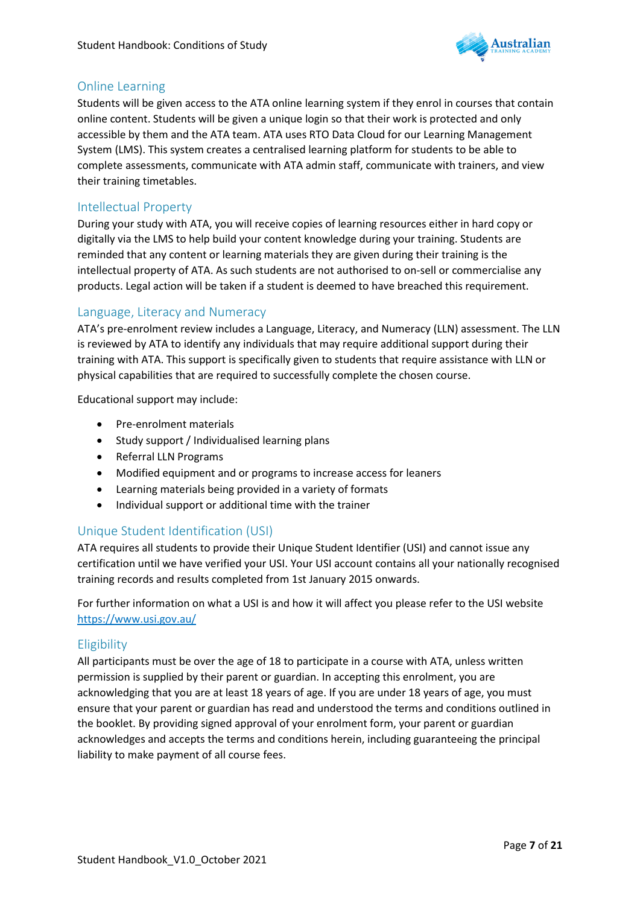

### <span id="page-7-0"></span>Online Learning

Students will be given access to the ATA online learning system if they enrol in courses that contain online content. Students will be given a unique login so that their work is protected and only accessible by them and the ATA team. ATA uses RTO Data Cloud for our Learning Management System (LMS). This system creates a centralised learning platform for students to be able to complete assessments, communicate with ATA admin staff, communicate with trainers, and view their training timetables.

### <span id="page-7-1"></span>Intellectual Property

During your study with ATA, you will receive copies of learning resources either in hard copy or digitally via the LMS to help build your content knowledge during your training. Students are reminded that any content or learning materials they are given during their training is the intellectual property of ATA. As such students are not authorised to on-sell or commercialise any products. Legal action will be taken if a student is deemed to have breached this requirement.

### <span id="page-7-2"></span>Language, Literacy and Numeracy

ATA's pre-enrolment review includes a Language, Literacy, and Numeracy (LLN) assessment. The LLN is reviewed by ATA to identify any individuals that may require additional support during their training with ATA. This support is specifically given to students that require assistance with LLN or physical capabilities that are required to successfully complete the chosen course.

Educational support may include:

- Pre-enrolment materials
- Study support / Individualised learning plans
- Referral LLN Programs
- Modified equipment and or programs to increase access for leaners
- Learning materials being provided in a variety of formats
- Individual support or additional time with the trainer

### <span id="page-7-3"></span>Unique Student Identification (USI)

ATA requires all students to provide their Unique Student Identifier (USI) and cannot issue any certification until we have verified your USI. Your USI account contains all your nationally recognised training records and results completed from 1st January 2015 onwards.

For further information on what a USI is and how it will affect you please refer to the USI website <https://www.usi.gov.au/>

### <span id="page-7-4"></span>Eligibility

All participants must be over the age of 18 to participate in a course with ATA, unless written permission is supplied by their parent or guardian. In accepting this enrolment, you are acknowledging that you are at least 18 years of age. If you are under 18 years of age, you must ensure that your parent or guardian has read and understood the terms and conditions outlined in the booklet. By providing signed approval of your enrolment form, your parent or guardian acknowledges and accepts the terms and conditions herein, including guaranteeing the principal liability to make payment of all course fees.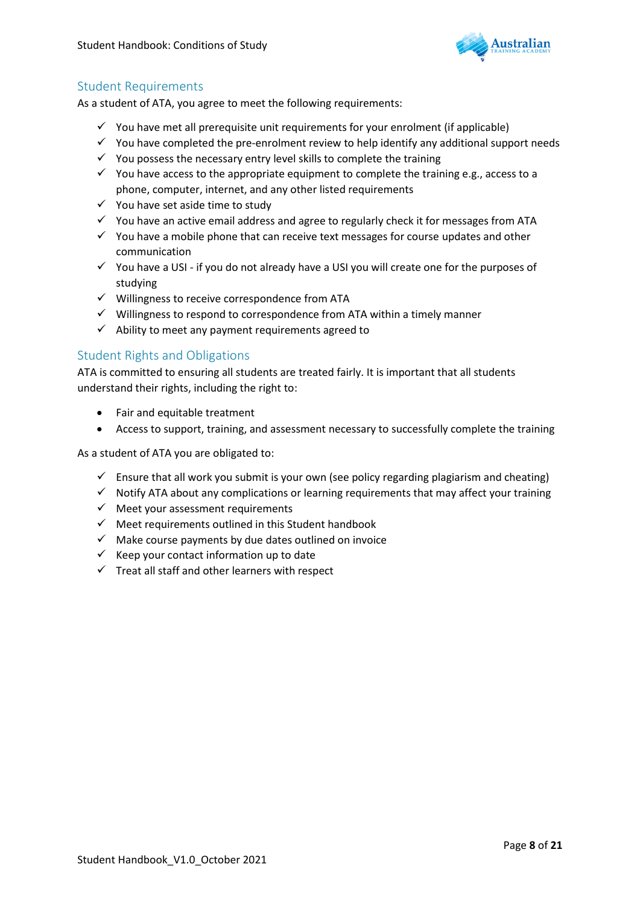

### <span id="page-8-0"></span>Student Requirements

As a student of ATA, you agree to meet the following requirements:

- $\checkmark$  You have met all prerequisite unit requirements for your enrolment (if applicable)
- $\checkmark$  You have completed the pre-enrolment review to help identify any additional support needs
- $\checkmark$  You possess the necessary entry level skills to complete the training
- $\checkmark$  You have access to the appropriate equipment to complete the training e.g., access to a phone, computer, internet, and any other listed requirements
- ✓ You have set aside time to study
- ✓ You have an active email address and agree to regularly check it for messages from ATA
- $\checkmark$  You have a mobile phone that can receive text messages for course updates and other communication
- $\checkmark$  You have a USI if you do not already have a USI you will create one for the purposes of studying
- $\checkmark$  Willingness to receive correspondence from ATA
- $\checkmark$  Willingness to respond to correspondence from ATA within a timely manner
- $\checkmark$  Ability to meet any payment requirements agreed to

### <span id="page-8-1"></span>Student Rights and Obligations

ATA is committed to ensuring all students are treated fairly. It is important that all students understand their rights, including the right to:

- Fair and equitable treatment
- Access to support, training, and assessment necessary to successfully complete the training

As a student of ATA you are obligated to:

- $\checkmark$  Ensure that all work you submit is your own (see policy regarding plagiarism and cheating)
- $\checkmark$  Notify ATA about any complications or learning requirements that may affect your training
- $\checkmark$  Meet your assessment requirements
- ✓ Meet requirements outlined in this Student handbook
- $\checkmark$  Make course payments by due dates outlined on invoice
- $\checkmark$  Keep your contact information up to date
- $\checkmark$  Treat all staff and other learners with respect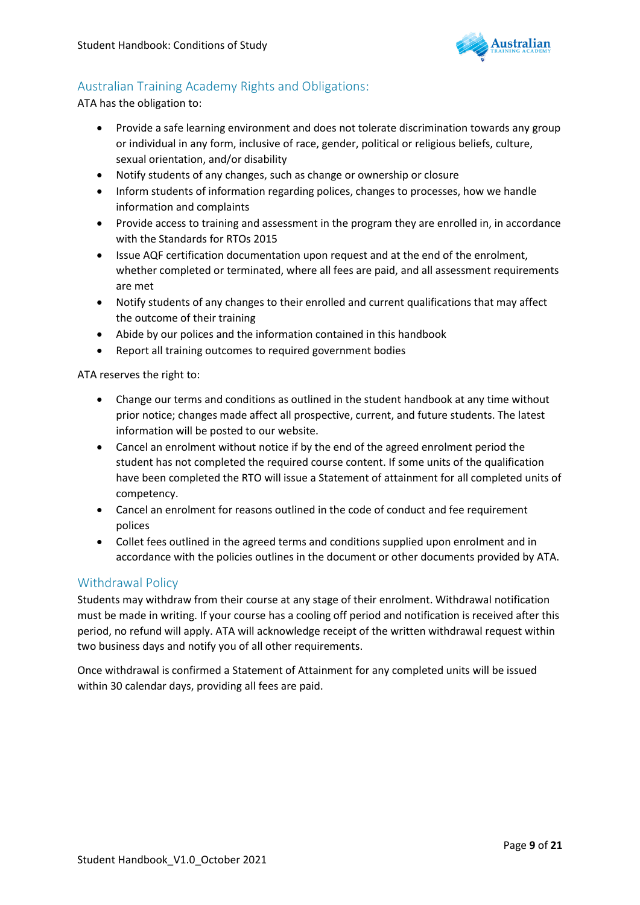

### <span id="page-9-0"></span>Australian Training Academy Rights and Obligations:

ATA has the obligation to:

- Provide a safe learning environment and does not tolerate discrimination towards any group or individual in any form, inclusive of race, gender, political or religious beliefs, culture, sexual orientation, and/or disability
- Notify students of any changes, such as change or ownership or closure
- Inform students of information regarding polices, changes to processes, how we handle information and complaints
- Provide access to training and assessment in the program they are enrolled in, in accordance with the Standards for RTOs 2015
- Issue AQF certification documentation upon request and at the end of the enrolment, whether completed or terminated, where all fees are paid, and all assessment requirements are met
- Notify students of any changes to their enrolled and current qualifications that may affect the outcome of their training
- Abide by our polices and the information contained in this handbook
- Report all training outcomes to required government bodies

ATA reserves the right to:

- Change our terms and conditions as outlined in the student handbook at any time without prior notice; changes made affect all prospective, current, and future students. The latest information will be posted to our website.
- Cancel an enrolment without notice if by the end of the agreed enrolment period the student has not completed the required course content. If some units of the qualification have been completed the RTO will issue a Statement of attainment for all completed units of competency.
- Cancel an enrolment for reasons outlined in the code of conduct and fee requirement polices
- Collet fees outlined in the agreed terms and conditions supplied upon enrolment and in accordance with the policies outlines in the document or other documents provided by ATA.

### <span id="page-9-1"></span>Withdrawal Policy

Students may withdraw from their course at any stage of their enrolment. Withdrawal notification must be made in writing. If your course has a cooling off period and notification is received after this period, no refund will apply. ATA will acknowledge receipt of the written withdrawal request within two business days and notify you of all other requirements.

Once withdrawal is confirmed a Statement of Attainment for any completed units will be issued within 30 calendar days, providing all fees are paid.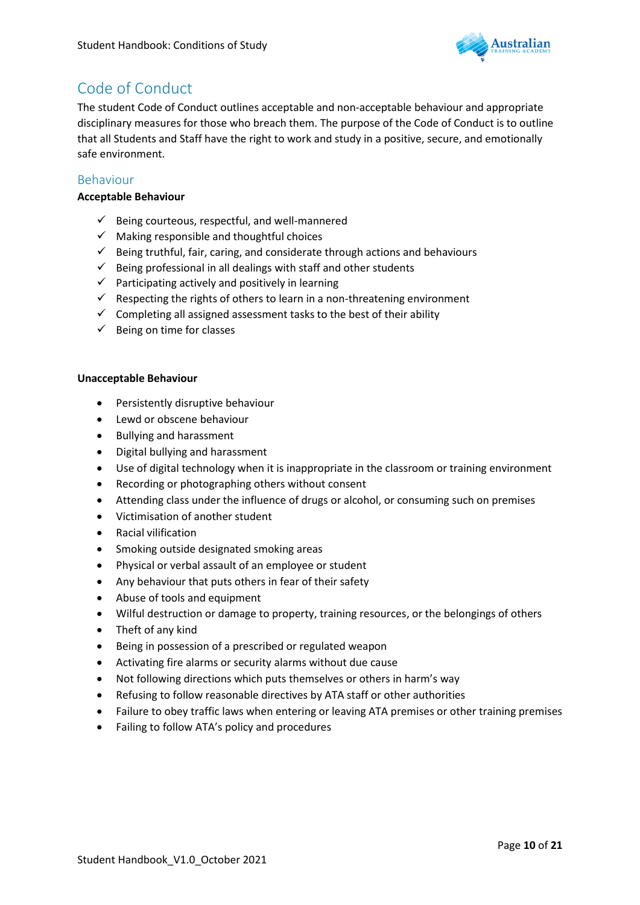

### <span id="page-10-0"></span>Code of Conduct

The student Code of Conduct outlines acceptable and non-acceptable behaviour and appropriate disciplinary measures for those who breach them. The purpose of the Code of Conduct is to outline that all Students and Staff have the right to work and study in a positive, secure, and emotionally safe environment.

### <span id="page-10-1"></span>Behaviour

#### **Acceptable Behaviour**

- $\checkmark$  Being courteous, respectful, and well-mannered
- $\checkmark$  Making responsible and thoughtful choices
- ✓ Being truthful, fair, caring, and considerate through actions and behaviours
- $\checkmark$  Being professional in all dealings with staff and other students
- $\checkmark$  Participating actively and positively in learning
- $\checkmark$  Respecting the rights of others to learn in a non-threatening environment
- $\checkmark$  Completing all assigned assessment tasks to the best of their ability
- $\checkmark$  Being on time for classes

#### **Unacceptable Behaviour**

- Persistently disruptive behaviour
- Lewd or obscene behaviour
- Bullying and harassment
- Digital bullying and harassment
- Use of digital technology when it is inappropriate in the classroom or training environment
- Recording or photographing others without consent
- Attending class under the influence of drugs or alcohol, or consuming such on premises
- Victimisation of another student
- Racial vilification
- Smoking outside designated smoking areas
- Physical or verbal assault of an employee or student
- Any behaviour that puts others in fear of their safety
- Abuse of tools and equipment
- Wilful destruction or damage to property, training resources, or the belongings of others
- Theft of any kind
- Being in possession of a prescribed or regulated weapon
- Activating fire alarms or security alarms without due cause
- Not following directions which puts themselves or others in harm's way
- Refusing to follow reasonable directives by ATA staff or other authorities
- Failure to obey traffic laws when entering or leaving ATA premises or other training premises
- Failing to follow ATA's policy and procedures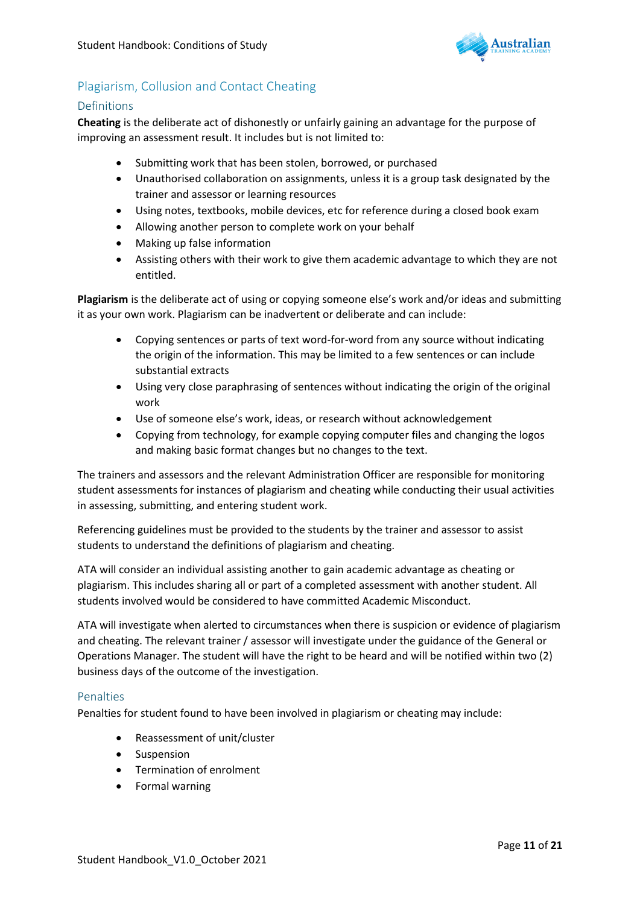

### <span id="page-11-0"></span>Plagiarism, Collusion and Contact Cheating

#### <span id="page-11-1"></span>Definitions

**Cheating** is the deliberate act of dishonestly or unfairly gaining an advantage for the purpose of improving an assessment result. It includes but is not limited to:

- Submitting work that has been stolen, borrowed, or purchased
- Unauthorised collaboration on assignments, unless it is a group task designated by the trainer and assessor or learning resources
- Using notes, textbooks, mobile devices, etc for reference during a closed book exam
- Allowing another person to complete work on your behalf
- Making up false information
- Assisting others with their work to give them academic advantage to which they are not entitled.

**Plagiarism** is the deliberate act of using or copying someone else's work and/or ideas and submitting it as your own work. Plagiarism can be inadvertent or deliberate and can include:

- Copying sentences or parts of text word-for-word from any source without indicating the origin of the information. This may be limited to a few sentences or can include substantial extracts
- Using very close paraphrasing of sentences without indicating the origin of the original work
- Use of someone else's work, ideas, or research without acknowledgement
- Copying from technology, for example copying computer files and changing the logos and making basic format changes but no changes to the text.

The trainers and assessors and the relevant Administration Officer are responsible for monitoring student assessments for instances of plagiarism and cheating while conducting their usual activities in assessing, submitting, and entering student work.

Referencing guidelines must be provided to the students by the trainer and assessor to assist students to understand the definitions of plagiarism and cheating.

ATA will consider an individual assisting another to gain academic advantage as cheating or plagiarism. This includes sharing all or part of a completed assessment with another student. All students involved would be considered to have committed Academic Misconduct.

ATA will investigate when alerted to circumstances when there is suspicion or evidence of plagiarism and cheating. The relevant trainer / assessor will investigate under the guidance of the General or Operations Manager. The student will have the right to be heard and will be notified within two (2) business days of the outcome of the investigation.

#### <span id="page-11-2"></span>Penalties

Penalties for student found to have been involved in plagiarism or cheating may include:

- Reassessment of unit/cluster
- **Suspension**
- Termination of enrolment
- Formal warning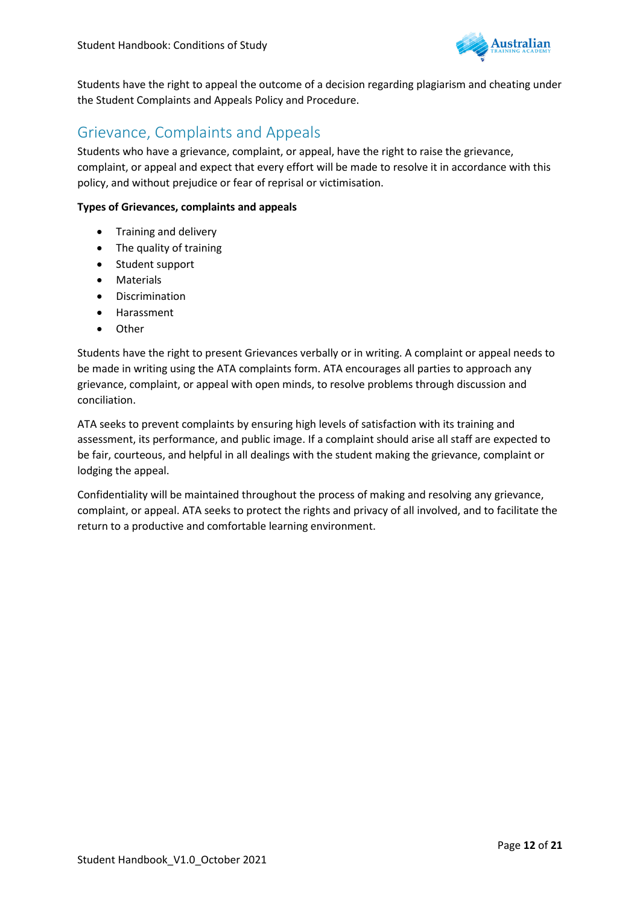

Students have the right to appeal the outcome of a decision regarding plagiarism and cheating under the Student Complaints and Appeals Policy and Procedure.

### <span id="page-12-0"></span>Grievance, Complaints and Appeals

Students who have a grievance, complaint, or appeal, have the right to raise the grievance, complaint, or appeal and expect that every effort will be made to resolve it in accordance with this policy, and without prejudice or fear of reprisal or victimisation.

#### **Types of Grievances, complaints and appeals**

- Training and delivery
- The quality of training
- Student support
- Materials
- Discrimination
- Harassment
- Other

Students have the right to present Grievances verbally or in writing. A complaint or appeal needs to be made in writing using the ATA complaints form. ATA encourages all parties to approach any grievance, complaint, or appeal with open minds, to resolve problems through discussion and conciliation.

ATA seeks to prevent complaints by ensuring high levels of satisfaction with its training and assessment, its performance, and public image. If a complaint should arise all staff are expected to be fair, courteous, and helpful in all dealings with the student making the grievance, complaint or lodging the appeal.

Confidentiality will be maintained throughout the process of making and resolving any grievance, complaint, or appeal. ATA seeks to protect the rights and privacy of all involved, and to facilitate the return to a productive and comfortable learning environment.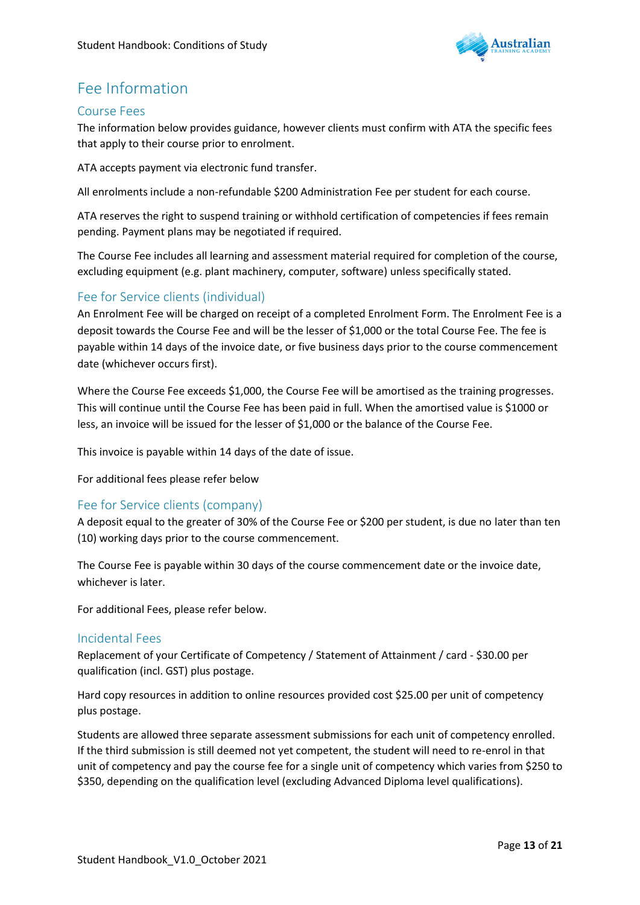

### Fee Information

### <span id="page-13-0"></span>Course Fees

The information below provides guidance, however clients must confirm with ATA the specific fees that apply to their course prior to enrolment.

ATA accepts payment via electronic fund transfer.

All enrolments include a non-refundable \$200 Administration Fee per student for each course.

ATA reserves the right to suspend training or withhold certification of competencies if fees remain pending. Payment plans may be negotiated if required.

The Course Fee includes all learning and assessment material required for completion of the course, excluding equipment (e.g. plant machinery, computer, software) unless specifically stated.

### <span id="page-13-1"></span>Fee for Service clients (individual)

An Enrolment Fee will be charged on receipt of a completed Enrolment Form. The Enrolment Fee is a deposit towards the Course Fee and will be the lesser of \$1,000 or the total Course Fee. The fee is payable within 14 days of the invoice date, or five business days prior to the course commencement date (whichever occurs first).

Where the Course Fee exceeds \$1,000, the Course Fee will be amortised as the training progresses. This will continue until the Course Fee has been paid in full. When the amortised value is \$1000 or less, an invoice will be issued for the lesser of \$1,000 or the balance of the Course Fee.

This invoice is payable within 14 days of the date of issue.

For additional fees please refer below

### <span id="page-13-2"></span>Fee for Service clients (company)

A deposit equal to the greater of 30% of the Course Fee or \$200 per student, is due no later than ten (10) working days prior to the course commencement.

The Course Fee is payable within 30 days of the course commencement date or the invoice date, whichever is later.

For additional Fees, please refer below.

### <span id="page-13-3"></span>Incidental Fees

Replacement of your Certificate of Competency / Statement of Attainment / card - \$30.00 per qualification (incl. GST) plus postage.

Hard copy resources in addition to online resources provided cost \$25.00 per unit of competency plus postage.

Students are allowed three separate assessment submissions for each unit of competency enrolled. If the third submission is still deemed not yet competent, the student will need to re-enrol in that unit of competency and pay the course fee for a single unit of competency which varies from \$250 to \$350, depending on the qualification level (excluding Advanced Diploma level qualifications).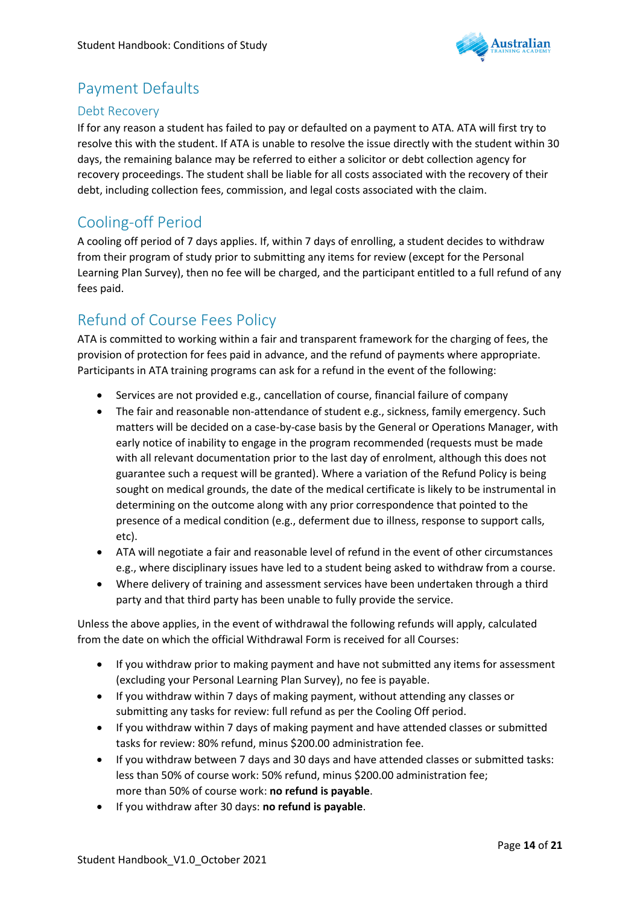

### <span id="page-14-0"></span>Payment Defaults

### <span id="page-14-1"></span>Debt Recovery

If for any reason a student has failed to pay or defaulted on a payment to ATA. ATA will first try to resolve this with the student. If ATA is unable to resolve the issue directly with the student within 30 days, the remaining balance may be referred to either a solicitor or debt collection agency for recovery proceedings. The student shall be liable for all costs associated with the recovery of their debt, including collection fees, commission, and legal costs associated with the claim.

### <span id="page-14-2"></span>Cooling-off Period

A cooling off period of 7 days applies. If, within 7 days of enrolling, a student decides to withdraw from their program of study prior to submitting any items for review (except for the Personal Learning Plan Survey), then no fee will be charged, and the participant entitled to a full refund of any fees paid.

### <span id="page-14-3"></span>Refund of Course Fees Policy

ATA is committed to working within a fair and transparent framework for the charging of fees, the provision of protection for fees paid in advance, and the refund of payments where appropriate. Participants in ATA training programs can ask for a refund in the event of the following:

- Services are not provided e.g., cancellation of course, financial failure of company
- The fair and reasonable non-attendance of student e.g., sickness, family emergency. Such matters will be decided on a case-by-case basis by the General or Operations Manager, with early notice of inability to engage in the program recommended (requests must be made with all relevant documentation prior to the last day of enrolment, although this does not guarantee such a request will be granted). Where a variation of the Refund Policy is being sought on medical grounds, the date of the medical certificate is likely to be instrumental in determining on the outcome along with any prior correspondence that pointed to the presence of a medical condition (e.g., deferment due to illness, response to support calls, etc).
- ATA will negotiate a fair and reasonable level of refund in the event of other circumstances e.g., where disciplinary issues have led to a student being asked to withdraw from a course.
- Where delivery of training and assessment services have been undertaken through a third party and that third party has been unable to fully provide the service.

Unless the above applies, in the event of withdrawal the following refunds will apply, calculated from the date on which the official Withdrawal Form is received for all Courses:

- If you withdraw prior to making payment and have not submitted any items for assessment (excluding your Personal Learning Plan Survey), no fee is payable.
- If you withdraw within 7 days of making payment, without attending any classes or submitting any tasks for review: full refund as per the Cooling Off period.
- If you withdraw within 7 days of making payment and have attended classes or submitted tasks for review: 80% refund, minus \$200.00 administration fee.
- If you withdraw between 7 days and 30 days and have attended classes or submitted tasks: less than 50% of course work: 50% refund, minus \$200.00 administration fee; more than 50% of course work: **no refund is payable**.
- If you withdraw after 30 days: **no refund is payable**.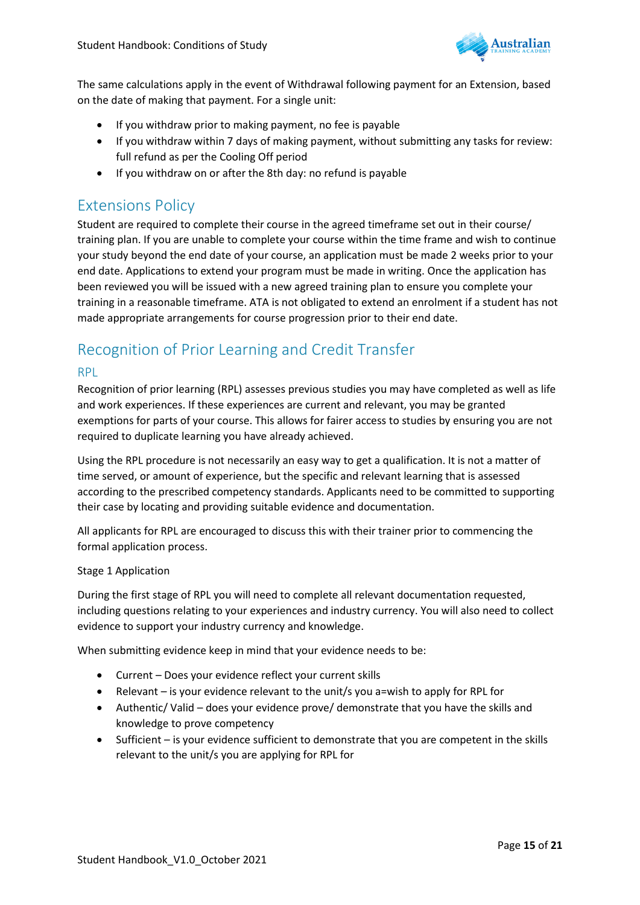

The same calculations apply in the event of Withdrawal following payment for an Extension, based on the date of making that payment. For a single unit:

- If you withdraw prior to making payment, no fee is payable
- If you withdraw within 7 days of making payment, without submitting any tasks for review: full refund as per the Cooling Off period
- If you withdraw on or after the 8th day: no refund is payable

### <span id="page-15-0"></span>Extensions Policy

Student are required to complete their course in the agreed timeframe set out in their course/ training plan. If you are unable to complete your course within the time frame and wish to continue your study beyond the end date of your course, an application must be made 2 weeks prior to your end date. Applications to extend your program must be made in writing. Once the application has been reviewed you will be issued with a new agreed training plan to ensure you complete your training in a reasonable timeframe. ATA is not obligated to extend an enrolment if a student has not made appropriate arrangements for course progression prior to their end date.

### <span id="page-15-1"></span>Recognition of Prior Learning and Credit Transfer

#### <span id="page-15-2"></span>RPL

Recognition of prior learning (RPL) assesses previous studies you may have completed as well as life and work experiences. If these experiences are current and relevant, you may be granted exemptions for parts of your course. This allows for fairer access to studies by ensuring you are not required to duplicate learning you have already achieved.

Using the RPL procedure is not necessarily an easy way to get a qualification. It is not a matter of time served, or amount of experience, but the specific and relevant learning that is assessed according to the prescribed competency standards. Applicants need to be committed to supporting their case by locating and providing suitable evidence and documentation.

All applicants for RPL are encouraged to discuss this with their trainer prior to commencing the formal application process.

#### Stage 1 Application

During the first stage of RPL you will need to complete all relevant documentation requested, including questions relating to your experiences and industry currency. You will also need to collect evidence to support your industry currency and knowledge.

When submitting evidence keep in mind that your evidence needs to be:

- Current Does your evidence reflect your current skills
- Relevant is your evidence relevant to the unit/s you a=wish to apply for RPL for
- Authentic/ Valid does your evidence prove/ demonstrate that you have the skills and knowledge to prove competency
- Sufficient is your evidence sufficient to demonstrate that you are competent in the skills relevant to the unit/s you are applying for RPL for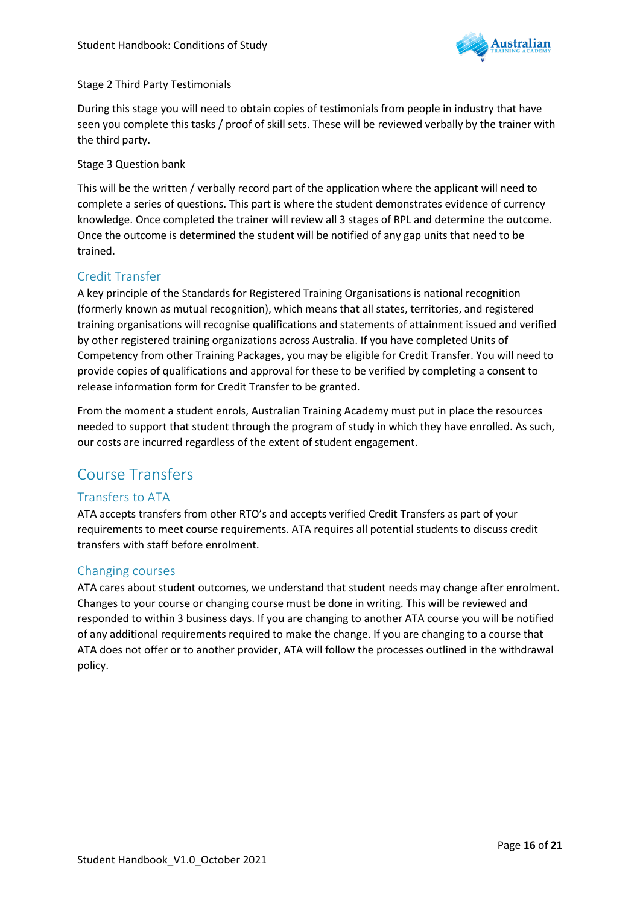

#### Stage 2 Third Party Testimonials

During this stage you will need to obtain copies of testimonials from people in industry that have seen you complete this tasks / proof of skill sets. These will be reviewed verbally by the trainer with the third party.

#### Stage 3 Question bank

This will be the written / verbally record part of the application where the applicant will need to complete a series of questions. This part is where the student demonstrates evidence of currency knowledge. Once completed the trainer will review all 3 stages of RPL and determine the outcome. Once the outcome is determined the student will be notified of any gap units that need to be trained.

### <span id="page-16-3"></span>Credit Transfer

A key principle of the Standards for Registered Training Organisations is national recognition (formerly known as mutual recognition), which means that all states, territories, and registered training organisations will recognise qualifications and statements of attainment issued and verified by other registered training organizations across Australia. If you have completed Units of Competency from other Training Packages, you may be eligible for Credit Transfer. You will need to provide copies of qualifications and approval for these to be verified by completing a consent to release information form for Credit Transfer to be granted.

From the moment a student enrols, Australian Training Academy must put in place the resources needed to support that student through the program of study in which they have enrolled. As such, our costs are incurred regardless of the extent of student engagement.

### <span id="page-16-0"></span>Course Transfers

### <span id="page-16-1"></span>Transfers to ATA

ATA accepts transfers from other RTO's and accepts verified Credit Transfers as part of your requirements to meet course requirements. ATA requires all potential students to discuss credit transfers with staff before enrolment.

### <span id="page-16-2"></span>Changing courses

ATA cares about student outcomes, we understand that student needs may change after enrolment. Changes to your course or changing course must be done in writing. This will be reviewed and responded to within 3 business days. If you are changing to another ATA course you will be notified of any additional requirements required to make the change. If you are changing to a course that ATA does not offer or to another provider, ATA will follow the processes outlined in the withdrawal policy.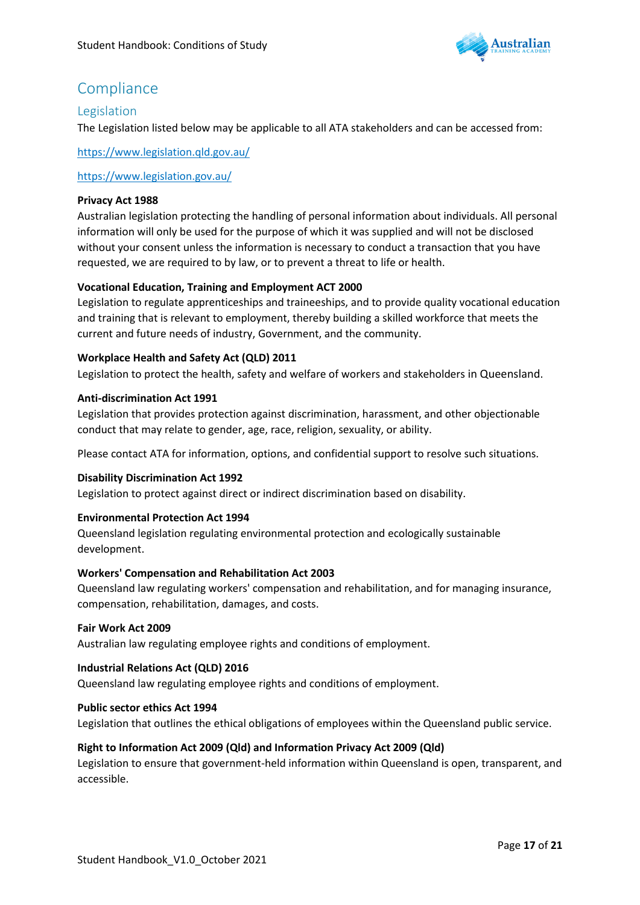

### <span id="page-17-0"></span>**Compliance**

### <span id="page-17-1"></span>Legislation

The Legislation listed below may be applicable to all ATA stakeholders and can be accessed from:

<https://www.legislation.qld.gov.au/>

<https://www.legislation.gov.au/>

#### **Privacy Act 1988**

Australian legislation protecting the handling of personal information about individuals. All personal information will only be used for the purpose of which it was supplied and will not be disclosed without your consent unless the information is necessary to conduct a transaction that you have requested, we are required to by law, or to prevent a threat to life or health.

#### **Vocational Education, Training and Employment ACT 2000**

Legislation to regulate apprenticeships and traineeships, and to provide quality vocational education and training that is relevant to employment, thereby building a skilled workforce that meets the current and future needs of industry, Government, and the community.

#### **Workplace Health and Safety Act (QLD) 2011**

Legislation to protect the health, safety and welfare of workers and stakeholders in Queensland.

#### **Anti-discrimination Act 1991**

Legislation that provides protection against discrimination, harassment, and other objectionable conduct that may relate to gender, age, race, religion, sexuality, or ability.

Please contact ATA for information, options, and confidential support to resolve such situations.

#### **Disability Discrimination Act 1992**

Legislation to protect against direct or indirect discrimination based on disability.

#### **Environmental Protection Act 1994**

Queensland legislation regulating environmental protection and ecologically sustainable development.

#### **Workers' Compensation and Rehabilitation Act 2003**

Queensland law regulating workers' compensation and rehabilitation, and for managing insurance, compensation, rehabilitation, damages, and costs.

#### **Fair Work Act 2009**

Australian law regulating employee rights and conditions of employment.

#### **Industrial Relations Act (QLD) 2016**

Queensland law regulating employee rights and conditions of employment.

#### **Public sector ethics Act 1994**

Legislation that outlines the ethical obligations of employees within the Queensland public service.

#### **Right to Information Act 2009 (Qld) and Information Privacy Act 2009 (Qld)**

Legislation to ensure that government-held information within Queensland is open, transparent, and accessible.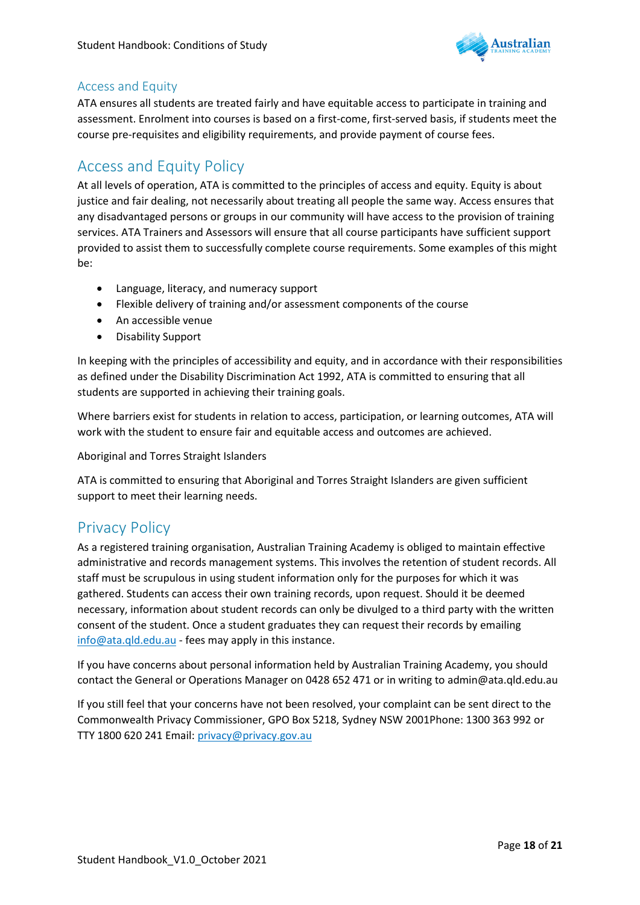

### <span id="page-18-0"></span>Access and Equity

ATA ensures all students are treated fairly and have equitable access to participate in training and assessment. Enrolment into courses is based on a first-come, first-served basis, if students meet the course pre-requisites and eligibility requirements, and provide payment of course fees.

### <span id="page-18-1"></span>Access and Equity Policy

At all levels of operation, ATA is committed to the principles of access and equity. Equity is about justice and fair dealing, not necessarily about treating all people the same way. Access ensures that any disadvantaged persons or groups in our community will have access to the provision of training services. ATA Trainers and Assessors will ensure that all course participants have sufficient support provided to assist them to successfully complete course requirements. Some examples of this might be:

- Language, literacy, and numeracy support
- Flexible delivery of training and/or assessment components of the course
- An accessible venue
- Disability Support

In keeping with the principles of accessibility and equity, and in accordance with their responsibilities as defined under the Disability Discrimination Act 1992, ATA is committed to ensuring that all students are supported in achieving their training goals.

Where barriers exist for students in relation to access, participation, or learning outcomes, ATA will work with the student to ensure fair and equitable access and outcomes are achieved.

Aboriginal and Torres Straight Islanders

ATA is committed to ensuring that Aboriginal and Torres Straight Islanders are given sufficient support to meet their learning needs.

### <span id="page-18-2"></span>Privacy Policy

As a registered training organisation, Australian Training Academy is obliged to maintain effective administrative and records management systems. This involves the retention of student records. All staff must be scrupulous in using student information only for the purposes for which it was gathered. Students can access their own training records, upon request. Should it be deemed necessary, information about student records can only be divulged to a third party with the written consent of the student. Once a student graduates they can request their records by emailing [info@ata.qld.edu.au](mailto:info@ata.qld.edu.au) - fees may apply in this instance.

If you have concerns about personal information held by Australian Training Academy, you should contact the General or Operations Manager on 0428 652 471 or in writing to admin@ata.qld.edu.au

<span id="page-18-3"></span>If you still feel that your concerns have not been resolved, your complaint can be sent direct to the Commonwealth Privacy Commissioner, GPO Box 5218, Sydney NSW 2001Phone: 1300 363 992 or TTY 1800 620 241 Email: [privacy@privacy.gov.au](mailto:privacy@privacy.gov.au)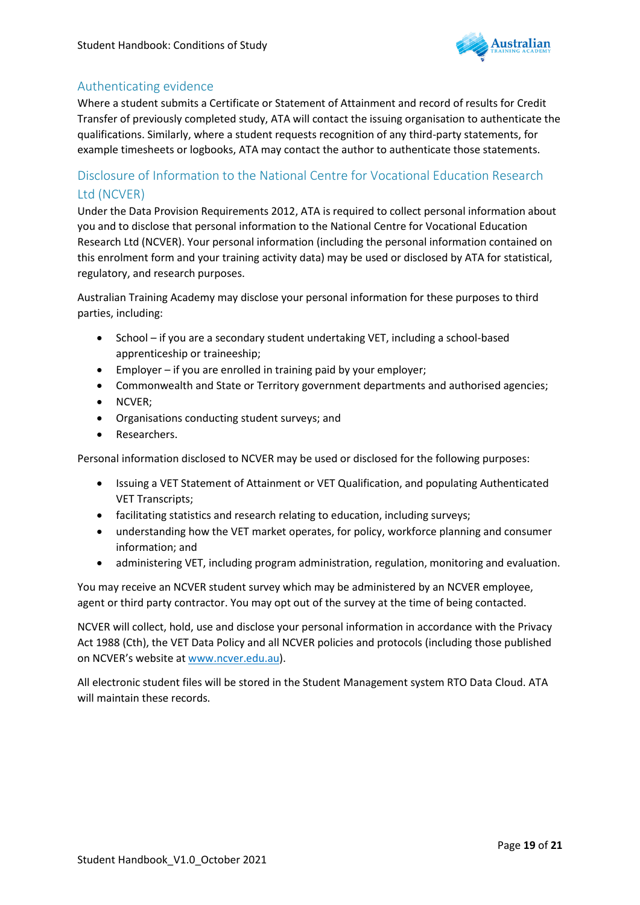

### Authenticating evidence

Where a student submits a Certificate or Statement of Attainment and record of results for Credit Transfer of previously completed study, ATA will contact the issuing organisation to authenticate the qualifications. Similarly, where a student requests recognition of any third-party statements, for example timesheets or logbooks, ATA may contact the author to authenticate those statements.

### <span id="page-19-0"></span>Disclosure of Information to the National Centre for Vocational Education Research Ltd (NCVER)

Under the Data Provision Requirements 2012, ATA is required to collect personal information about you and to disclose that personal information to the National Centre for Vocational Education Research Ltd (NCVER). Your personal information (including the personal information contained on this enrolment form and your training activity data) may be used or disclosed by ATA for statistical, regulatory, and research purposes.

Australian Training Academy may disclose your personal information for these purposes to third parties, including:

- School if you are a secondary student undertaking VET, including a school-based apprenticeship or traineeship;
- Employer if you are enrolled in training paid by your employer;
- Commonwealth and State or Territory government departments and authorised agencies;
- NCVER;
- Organisations conducting student surveys; and
- Researchers.

Personal information disclosed to NCVER may be used or disclosed for the following purposes:

- Issuing a VET Statement of Attainment or VET Qualification, and populating Authenticated VET Transcripts;
- facilitating statistics and research relating to education, including surveys;
- understanding how the VET market operates, for policy, workforce planning and consumer information; and
- administering VET, including program administration, regulation, monitoring and evaluation.

You may receive an NCVER student survey which may be administered by an NCVER employee, agent or third party contractor. You may opt out of the survey at the time of being contacted.

NCVER will collect, hold, use and disclose your personal information in accordance with the Privacy Act 1988 (Cth), the VET Data Policy and all NCVER policies and protocols (including those published on NCVER's website at [www.ncver.edu.au\)](http://www.ncver.edu.au/).

All electronic student files will be stored in the Student Management system RTO Data Cloud. ATA will maintain these records.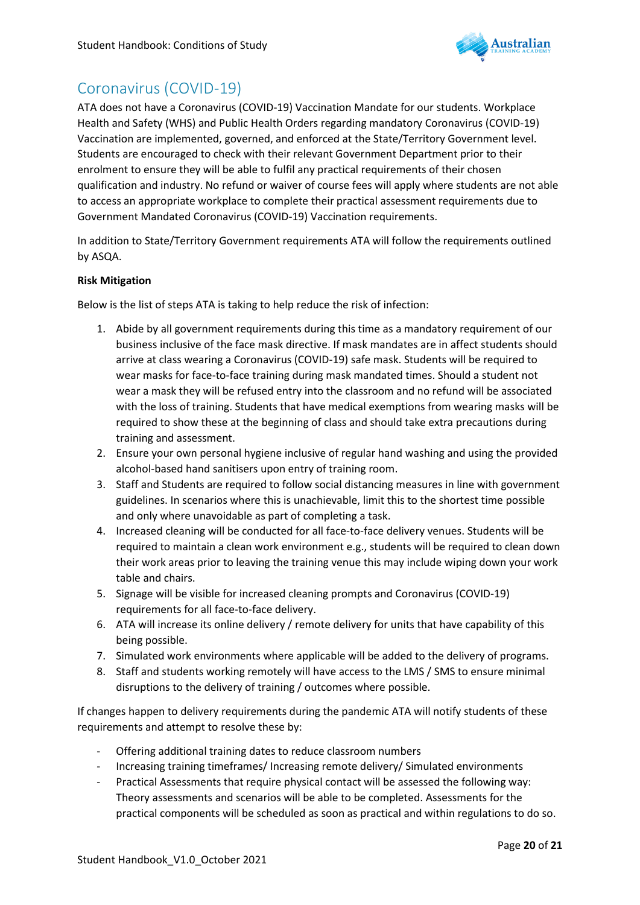

### <span id="page-20-0"></span>Coronavirus (COVID-19)

ATA does not have a Coronavirus (COVID-19) Vaccination Mandate for our students. Workplace Health and Safety (WHS) and Public Health Orders regarding mandatory Coronavirus (COVID-19) Vaccination are implemented, governed, and enforced at the State/Territory Government level. Students are encouraged to check with their relevant Government Department prior to their enrolment to ensure they will be able to fulfil any practical requirements of their chosen qualification and industry. No refund or waiver of course fees will apply where students are not able to access an appropriate workplace to complete their practical assessment requirements due to Government Mandated Coronavirus (COVID-19) Vaccination requirements.

In addition to State/Territory Government requirements ATA will follow the requirements outlined by ASQA.

#### **Risk Mitigation**

Below is the list of steps ATA is taking to help reduce the risk of infection:

- 1. Abide by all government requirements during this time as a mandatory requirement of our business inclusive of the face mask directive. If mask mandates are in affect students should arrive at class wearing a Coronavirus (COVID-19) safe mask. Students will be required to wear masks for face-to-face training during mask mandated times. Should a student not wear a mask they will be refused entry into the classroom and no refund will be associated with the loss of training. Students that have medical exemptions from wearing masks will be required to show these at the beginning of class and should take extra precautions during training and assessment.
- 2. Ensure your own personal hygiene inclusive of regular hand washing and using the provided alcohol-based hand sanitisers upon entry of training room.
- 3. Staff and Students are required to follow social distancing measures in line with government guidelines. In scenarios where this is unachievable, limit this to the shortest time possible and only where unavoidable as part of completing a task.
- 4. Increased cleaning will be conducted for all face-to-face delivery venues. Students will be required to maintain a clean work environment e.g., students will be required to clean down their work areas prior to leaving the training venue this may include wiping down your work table and chairs.
- 5. Signage will be visible for increased cleaning prompts and Coronavirus (COVID-19) requirements for all face-to-face delivery.
- 6. ATA will increase its online delivery / remote delivery for units that have capability of this being possible.
- 7. Simulated work environments where applicable will be added to the delivery of programs.
- 8. Staff and students working remotely will have access to the LMS / SMS to ensure minimal disruptions to the delivery of training / outcomes where possible.

If changes happen to delivery requirements during the pandemic ATA will notify students of these requirements and attempt to resolve these by:

- Offering additional training dates to reduce classroom numbers
- Increasing training timeframes/ Increasing remote delivery/ Simulated environments
- Practical Assessments that require physical contact will be assessed the following way: Theory assessments and scenarios will be able to be completed. Assessments for the practical components will be scheduled as soon as practical and within regulations to do so.